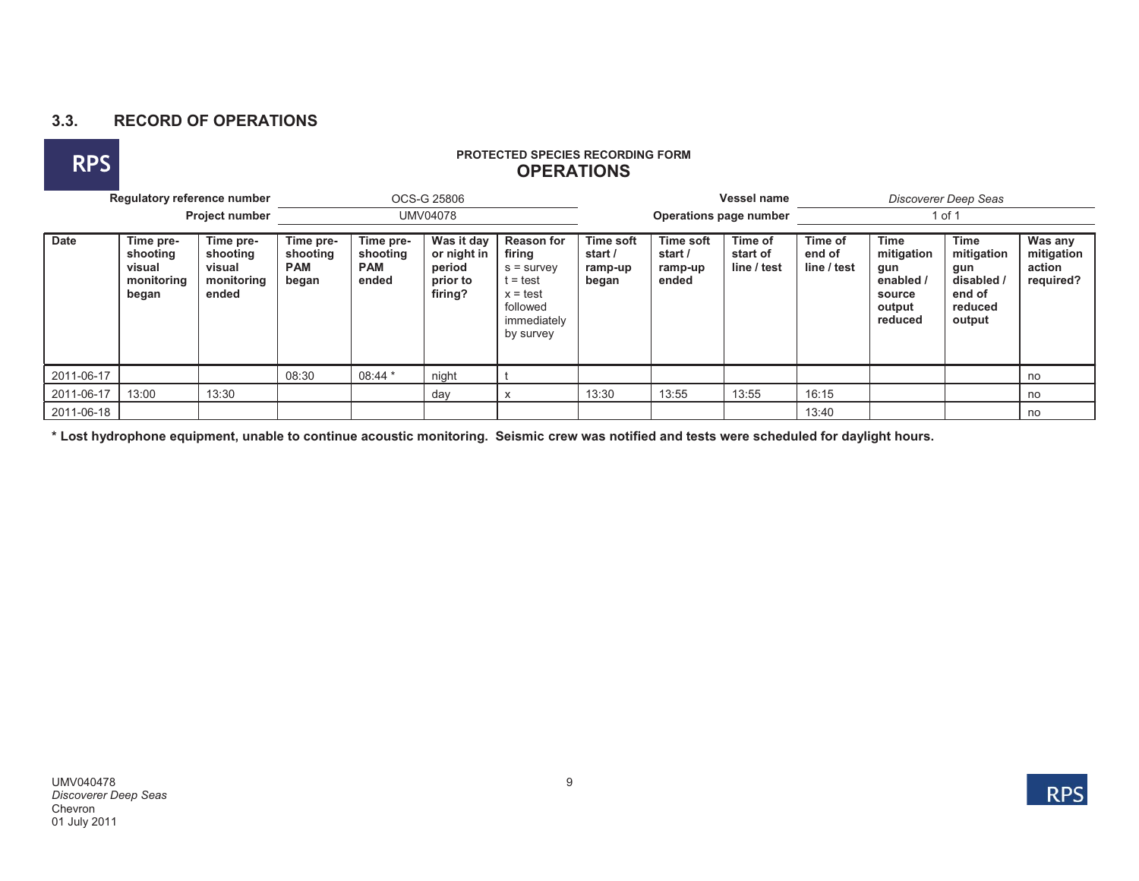## **3.3. RECORD OF OPERATIONS**



## **RPS PROTECTED SPECIES RECORDING FORM OPERATIONS**

|             | Regulatory reference number<br><b>Project number</b>   |                                                        |                                              |                                              | OCS-G 25806                                                |                                                                                                               |       |                                                                                | <b>Vessel name</b> | Discoverer Deep Seas             |                                                                              |                                                                        |                                              |  |
|-------------|--------------------------------------------------------|--------------------------------------------------------|----------------------------------------------|----------------------------------------------|------------------------------------------------------------|---------------------------------------------------------------------------------------------------------------|-------|--------------------------------------------------------------------------------|--------------------|----------------------------------|------------------------------------------------------------------------------|------------------------------------------------------------------------|----------------------------------------------|--|
|             |                                                        |                                                        |                                              | <b>UMV04078</b>                              |                                                            |                                                                                                               |       | Operations page number                                                         |                    |                                  | 1 of 1                                                                       |                                                                        |                                              |  |
| <b>Date</b> | Time pre-<br>shooting<br>visual<br>monitoring<br>began | Time pre-<br>shooting<br>visual<br>monitoring<br>ended | Time pre-<br>shooting<br><b>PAM</b><br>began | Time pre-<br>shooting<br><b>PAM</b><br>ended | Was it day<br>or night in<br>period<br>prior to<br>firing? | <b>Reason for</b><br>firing<br>$s =$ survey<br>t = test<br>$x = test$<br>followed<br>immediately<br>by survey |       | Time soft<br>Time of<br>start /<br>start of<br>line / test<br>ramp-up<br>ended |                    | Time of<br>end of<br>line / test | <b>Time</b><br>mitigation<br>gun<br>enabled /<br>source<br>output<br>reduced | Time<br>mitigation<br>gun<br>disabled /<br>end of<br>reduced<br>output | Was any<br>mitigation<br>action<br>required? |  |
| 2011-06-17  |                                                        |                                                        | 08:30                                        | $08:44*$                                     | night                                                      |                                                                                                               |       |                                                                                |                    |                                  |                                                                              |                                                                        | no                                           |  |
| 2011-06-17  | 13:00                                                  | 13:30                                                  |                                              |                                              | day                                                        |                                                                                                               | 13:30 | 13:55                                                                          | 13:55              | 16:15                            |                                                                              |                                                                        | no                                           |  |
| 2011-06-18  |                                                        |                                                        |                                              |                                              |                                                            |                                                                                                               |       |                                                                                |                    | 13:40                            |                                                                              |                                                                        | no                                           |  |

**\* Lost hydrophone equipment, unable to continue acoustic monitoring. Seismic crew was notified and tests were scheduled for daylight hours.**